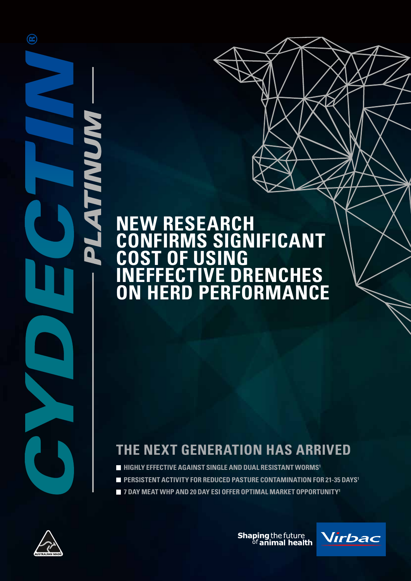### **NEW RESEARCH CONFIRMS SIGNIFICANT COST OF USING INEFFECTIVE DRENCHES ON HERD PERFORMANCE**

### **THE NEXT GENERATION HAS ARRIVED**

- **HIGHLY EFFECTIVE AGAINST SINGLE AND DUAL RESISTANT WORMS<sup>1</sup>**
- **PERSISTENT ACTIVITY FOR REDUCED PASTURE CONTAMINATION FOR 21-35 DAYS<sup>1</sup>**
- **7 DAY MEAT WHP AND 20 DAY ESI OFFER OPTIMAL MARKET OPPORTUNITY1**



 $\circledR$ 

**TIMUM** 

I

N

**Shaping the future**<br><sup>of</sup> animal health

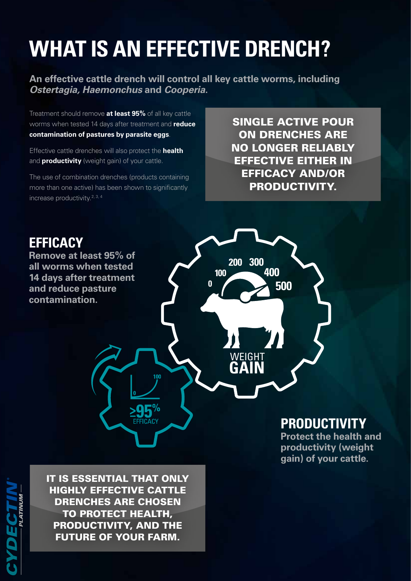# **WHAT IS AN EFFECTIVE DRENCH?**

**An effective cattle drench will control all key cattle worms, including**  *Ostertagia, Haemonchus* **and** *Cooperia***.**

Treatment should remove **at least 95%** of all key cattle worms when tested 14 days after treatment and **reduce contamination of pastures by parasite eggs**.

Effective cattle drenches will also protect the **health**  and **productivity** (weight gain) of your cattle.

The use of combination drenches (products containing more than one active) has been shown to significantly increase productivity.2, 3, 4

SINGLE ACTIVE POUR ON DRENCHES ARE NO LONGER RELIABLY EFFECTIVE EITHER IN EFFICACY AND/OR PRODUCTIVITY.



IT IS ESSENTIAL THAT ONLY HIGHLY EFFECTIVE CATTLE DRENCHES ARE CHOSEN TO PROTECT HEALTH, PRODUCTIVITY, AND THE FUTURE OF YOUR FARM.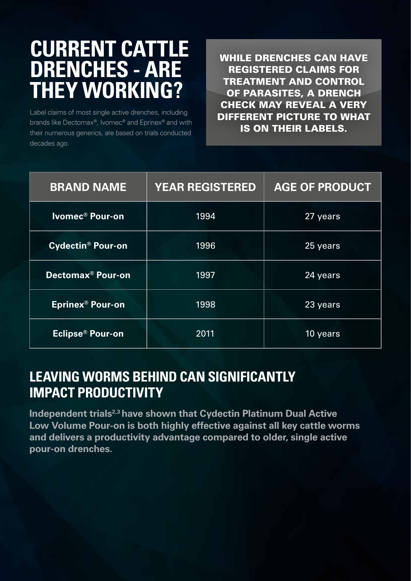## **CURRENT CATTLE DRENCHES - ARE THEY WORKING?**

Label claims of most single active drenches, including brands like Dectomax®, Ivomec® and Eprinex® and with their numerous generics, are based on trials conducted decades ago.

WHILE DRENCHES CAN HAVE REGISTERED CLAIMS FOR TREATMENT AND CONTROL OF PARASITES, A DRENCH CHECK MAY REVEAL A VERY DIFFERENT PICTURE TO WHAT IS ON THEIR LABELS.

| <b>BRAND NAME</b>                   | <b>YEAR REGISTERED</b> | <b>AGE OF PRODUCT</b> |
|-------------------------------------|------------------------|-----------------------|
| Ivomec <sup>®</sup> Pour-on         | 1994                   | 27 years              |
| <b>Cydectin<sup>®</sup> Pour-on</b> | 1996                   | 25 years              |
| <b>Dectomax<sup>®</sup> Pour-on</b> | 1997                   | 24 years              |
| Eprinex <sup>®</sup> Pour-on        | 1998                   | 23 years              |
| Eclipse® Pour-on                    | 2011                   | 10 years              |

#### **LEAVING WORMS BEHIND CAN SIGNIFICANTLY IMPACT PRODUCTIVITY**

**Independent trials<sup>2,3</sup> have shown that Cydectin Platinum Dual Active Low Volume Pour-on is both highly effective against all key cattle worms and delivers a productivity advantage compared to older, single active pour-on drenches.**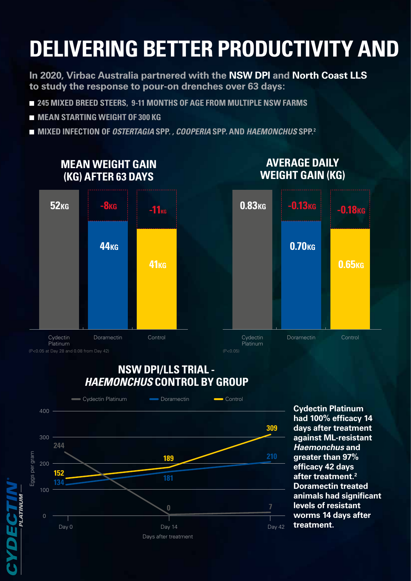# **DELIVERING BETTER PRODUCTIVITY AND**

**In 2020, Virbac Australia partnered with the NSW DPI and North Coast LLS to study the response to pour-on drenches over 63 days:**

- **245 MIXED BREED STEERS, 9-11 MONTHS OF AGE FROM MULTIPLE NSW FARMS**
- **MEAN STARTING WEIGHT OF 300 KG**
- **MIXED INFECTION OF** *OSTERTAGIA* **SPP***. , COOPERIA* **SPP***.* **AND** *HAEMONCHUS* **SPP.2**



#### **NSW DPI/LLS TRIAL -**  *HAEMONCHUS* **CONTROL BY GROUP**



**Cydectin Platinum had 100% efficacy 14 days after treatment against ML-resistant**  *Haemonchus* **and greater than 97% efficacy 42 days after treatment.2 Doramectin treated animals had significant levels of resistant worms 14 days after treatment.**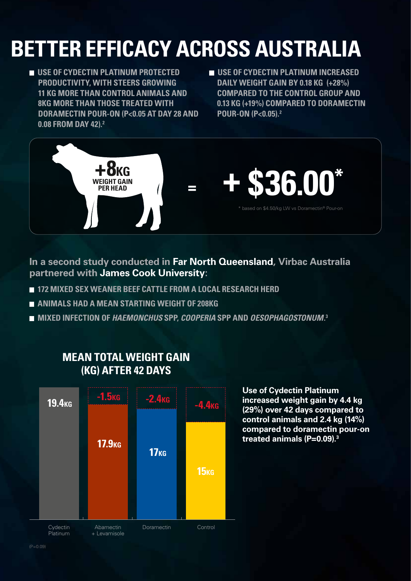# **BETTER EFFICACY ACROSS AUSTRALIA**

- **USE OF CYDECTIN PLATINUM PROTECTED PRODUCTIVITY, WITH STEERS GROWING 11 KG MORE THAN CONTROL ANIMALS AND 8KG MORE THAN THOSE TREATED WITH DORAMECTIN POUR-ON (P<0.05 AT DAY 28 AND 0.08 FROM DAY 42).2**
- **USE OF CYDECTIN PLATINUM INCREASED DAILY WEIGHT GAIN BY 0.18 KG (+28%) COMPARED TO THE CONTROL GROUP AND 0.13 KG (+19%) COMPARED TO DORAMECTIN POUR-ON (P<0.05).2**



**In a second study conducted in Far North Queensland, Virbac Australia partnered with James Cook University:**

- **172 MIXED SEX WEANER BEEF CATTLE FROM A LOCAL RESEARCH HERD**
- **ANIMALS HAD A MEAN STARTING WEIGHT OF 208KG**
- **MIXED INFECTION OF** *HAEMONCHUS* **SPP,** *COOPERIA* **SPP AND** *OESOPHAGOSTONUM***. 3**



#### **MEAN TOTAL WEIGHT GAIN (KG) AFTER 42 DAYS**

**Use of Cydectin Platinum increased weight gain by 4.4 kg (29%) over 42 days compared to control animals and 2.4 kg (14%) compared to doramectin pour-on treated animals (P=0.09).3**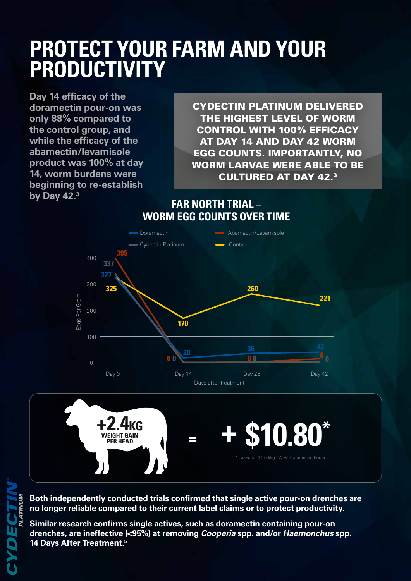## **PROTECT YOUR FARM AND YOUR PRODUCTIVITY**

**Day 14 efficacy of the doramectin pour-on was only 88% compared to the control group, and while the efficacy of the abamectin/levamisole product was 100% at day 14, worm burdens were beginning to re-establish by Day 42.3**

CYDECTIN PLATINUM DELIVERED THE HIGHEST LEVEL OF WORM CONTROL WITH 100% EFFICACY AT DAY 14 AND DAY 42 WORM EGG COUNTS. IMPORTANTLY, NO WORM LARVAE WERE ABLE TO BE CULTURED AT DAY 42.3

**FAR NORTH TRIAL – WORM EGG COUNTS OVER TIME**





**Both independently conducted trials confirmed that single active pour-on drenches are no longer reliable compared to their current label claims or to protect productivity.**

**Similar research confirms single actives, such as doramectin containing pour-on drenches, are ineffective (<95%) at removing** *Cooperia* **spp. and/or** *Haemonchus* **spp. 14 Days After Treatment.5**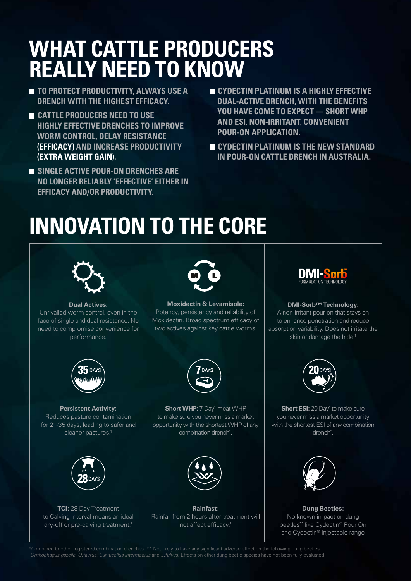## **WHAT CATTLE PRODUCERS REALLY NEED TO KNOW**

- **TO PROTECT PRODUCTIVITY, ALWAYS USE A DRENCH WITH THE HIGHEST EFFICACY.**
- **CATTLE PRODUCERS NEED TO USE HIGHLY EFFECTIVE DRENCHES TO IMPROVE WORM CONTROL, DELAY RESISTANCE (EFFICACY) AND INCREASE PRODUCTIVITY (EXTRA WEIGHT GAIN).**
- **SINGLE ACTIVE POUR-ON DRENCHES ARE NO LONGER RELIABLY 'EFFECTIVE' EITHER IN EFFICACY AND/OR PRODUCTIVITY.**
- **EXPLOSIVE CYDECTIN PLATINUM IS A HIGHLY EFFECTIVE DUAL-ACTIVE DRENCH, WITH THE BENEFITS YOU HAVE COME TO EXPECT — SHORT WHP AND ESI, NON-IRRITANT, CONVENIENT POUR-ON APPLICATION.**
- **CYDECTIN PLATINUM IS THE NEW STANDARD IN POUR-ON CATTLE DRENCH IN AUSTRALIA.**

# **INNOVATION TO THE CORE**



\*Compared to other registered combination drenches. \*\* Not likely to have any significant adverse effect on the following dung beetles: *Onthophagus gazella, O.taurus, Euniticellus intermedius* and *E.fulvus*. Effects on other dung beetle species have not been fully evaluated.